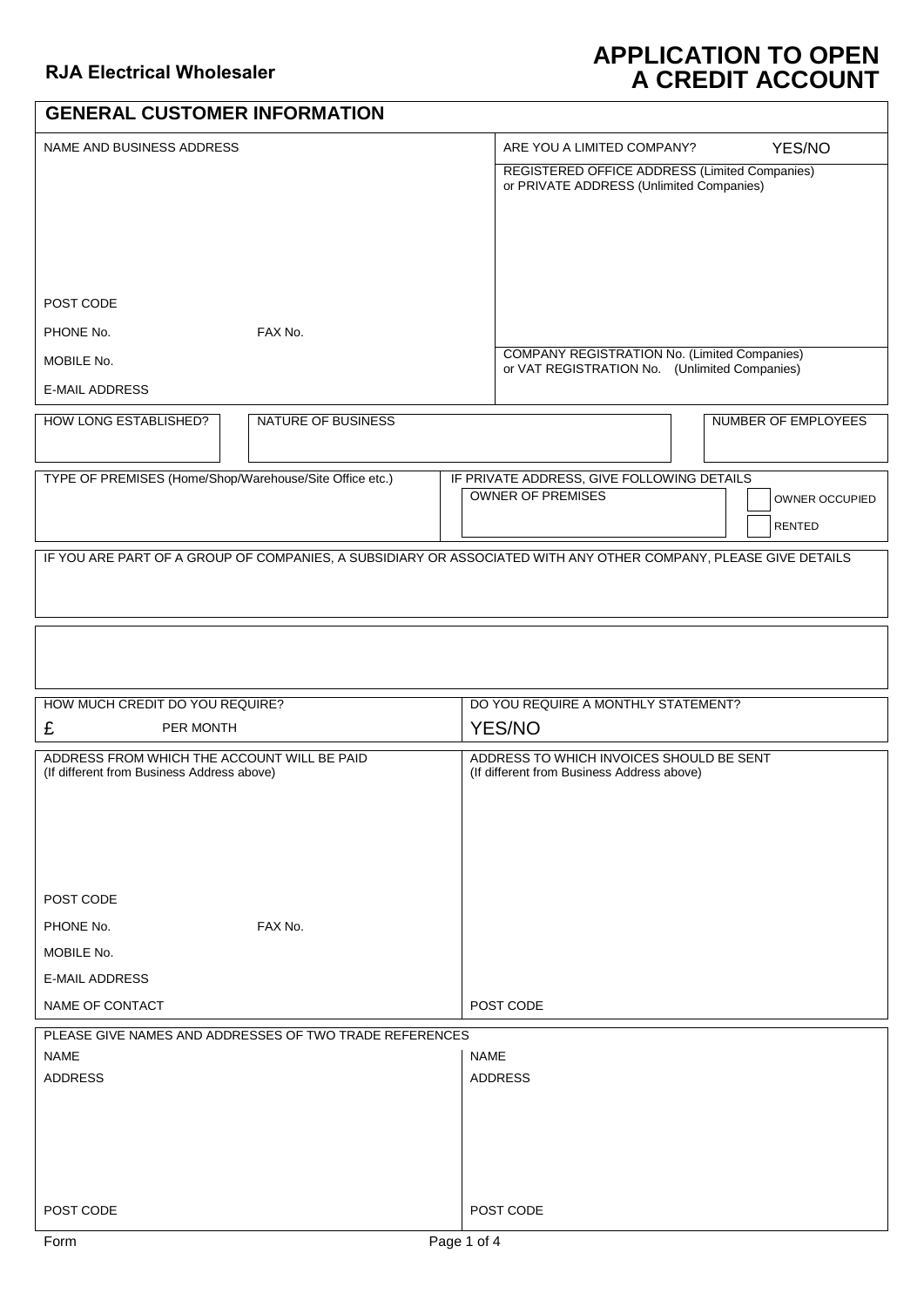## **APPLICATION TO OPEN A CREDIT ACCOUNT**

| <b>GENERAL CUSTOMER INFORMATION</b>                                                       |                                                                                                                 |  |                                                                                               |  |                     |  |  |
|-------------------------------------------------------------------------------------------|-----------------------------------------------------------------------------------------------------------------|--|-----------------------------------------------------------------------------------------------|--|---------------------|--|--|
| NAME AND BUSINESS ADDRESS                                                                 |                                                                                                                 |  | YES/NO<br>ARE YOU A LIMITED COMPANY?                                                          |  |                     |  |  |
|                                                                                           |                                                                                                                 |  | REGISTERED OFFICE ADDRESS (Limited Companies)<br>or PRIVATE ADDRESS (Unlimited Companies)     |  |                     |  |  |
|                                                                                           |                                                                                                                 |  |                                                                                               |  |                     |  |  |
|                                                                                           |                                                                                                                 |  |                                                                                               |  |                     |  |  |
|                                                                                           |                                                                                                                 |  |                                                                                               |  |                     |  |  |
|                                                                                           |                                                                                                                 |  |                                                                                               |  |                     |  |  |
| POST CODE                                                                                 |                                                                                                                 |  |                                                                                               |  |                     |  |  |
| PHONE No.                                                                                 | FAX No.                                                                                                         |  |                                                                                               |  |                     |  |  |
| MOBILE No.                                                                                |                                                                                                                 |  | COMPANY REGISTRATION No. (Limited Companies)<br>or VAT REGISTRATION No. (Unlimited Companies) |  |                     |  |  |
| <b>E-MAIL ADDRESS</b>                                                                     |                                                                                                                 |  |                                                                                               |  |                     |  |  |
| <b>HOW LONG ESTABLISHED?</b>                                                              | <b>NATURE OF BUSINESS</b>                                                                                       |  |                                                                                               |  | NUMBER OF EMPLOYEES |  |  |
|                                                                                           |                                                                                                                 |  |                                                                                               |  |                     |  |  |
| TYPE OF PREMISES (Home/Shop/Warehouse/Site Office etc.)                                   |                                                                                                                 |  | IF PRIVATE ADDRESS, GIVE FOLLOWING DETAILS<br><b>OWNER OF PREMISES</b>                        |  |                     |  |  |
|                                                                                           |                                                                                                                 |  |                                                                                               |  | OWNER OCCUPIED      |  |  |
|                                                                                           |                                                                                                                 |  |                                                                                               |  | <b>RENTED</b>       |  |  |
|                                                                                           | IF YOU ARE PART OF A GROUP OF COMPANIES, A SUBSIDIARY OR ASSOCIATED WITH ANY OTHER COMPANY, PLEASE GIVE DETAILS |  |                                                                                               |  |                     |  |  |
|                                                                                           |                                                                                                                 |  |                                                                                               |  |                     |  |  |
|                                                                                           |                                                                                                                 |  |                                                                                               |  |                     |  |  |
|                                                                                           |                                                                                                                 |  |                                                                                               |  |                     |  |  |
|                                                                                           |                                                                                                                 |  |                                                                                               |  |                     |  |  |
| HOW MUCH CREDIT DO YOU REQUIRE?                                                           |                                                                                                                 |  | DO YOU REQUIRE A MONTHLY STATEMENT?                                                           |  |                     |  |  |
| £<br>PER MONTH                                                                            |                                                                                                                 |  | <b>YES/NO</b>                                                                                 |  |                     |  |  |
| ADDRESS FROM WHICH THE ACCOUNT WILL BE PAID<br>(If different from Business Address above) |                                                                                                                 |  | ADDRESS TO WHICH INVOICES SHOULD BE SENT<br>(If different from Business Address above)        |  |                     |  |  |
|                                                                                           |                                                                                                                 |  |                                                                                               |  |                     |  |  |
|                                                                                           |                                                                                                                 |  |                                                                                               |  |                     |  |  |
|                                                                                           |                                                                                                                 |  |                                                                                               |  |                     |  |  |
|                                                                                           |                                                                                                                 |  |                                                                                               |  |                     |  |  |
| POST CODE                                                                                 |                                                                                                                 |  |                                                                                               |  |                     |  |  |
| PHONE No.                                                                                 | FAX No.                                                                                                         |  |                                                                                               |  |                     |  |  |
| MOBILE No.                                                                                |                                                                                                                 |  |                                                                                               |  |                     |  |  |
| <b>E-MAIL ADDRESS</b>                                                                     |                                                                                                                 |  |                                                                                               |  |                     |  |  |
| NAME OF CONTACT                                                                           |                                                                                                                 |  | POST CODE                                                                                     |  |                     |  |  |
| NAME                                                                                      | PLEASE GIVE NAMES AND ADDRESSES OF TWO TRADE REFERENCES                                                         |  |                                                                                               |  |                     |  |  |
| ADDRESS                                                                                   |                                                                                                                 |  | <b>NAME</b><br><b>ADDRESS</b>                                                                 |  |                     |  |  |
|                                                                                           |                                                                                                                 |  |                                                                                               |  |                     |  |  |
|                                                                                           |                                                                                                                 |  |                                                                                               |  |                     |  |  |
|                                                                                           |                                                                                                                 |  |                                                                                               |  |                     |  |  |
|                                                                                           |                                                                                                                 |  |                                                                                               |  |                     |  |  |
| POST CODE                                                                                 |                                                                                                                 |  | POST CODE                                                                                     |  |                     |  |  |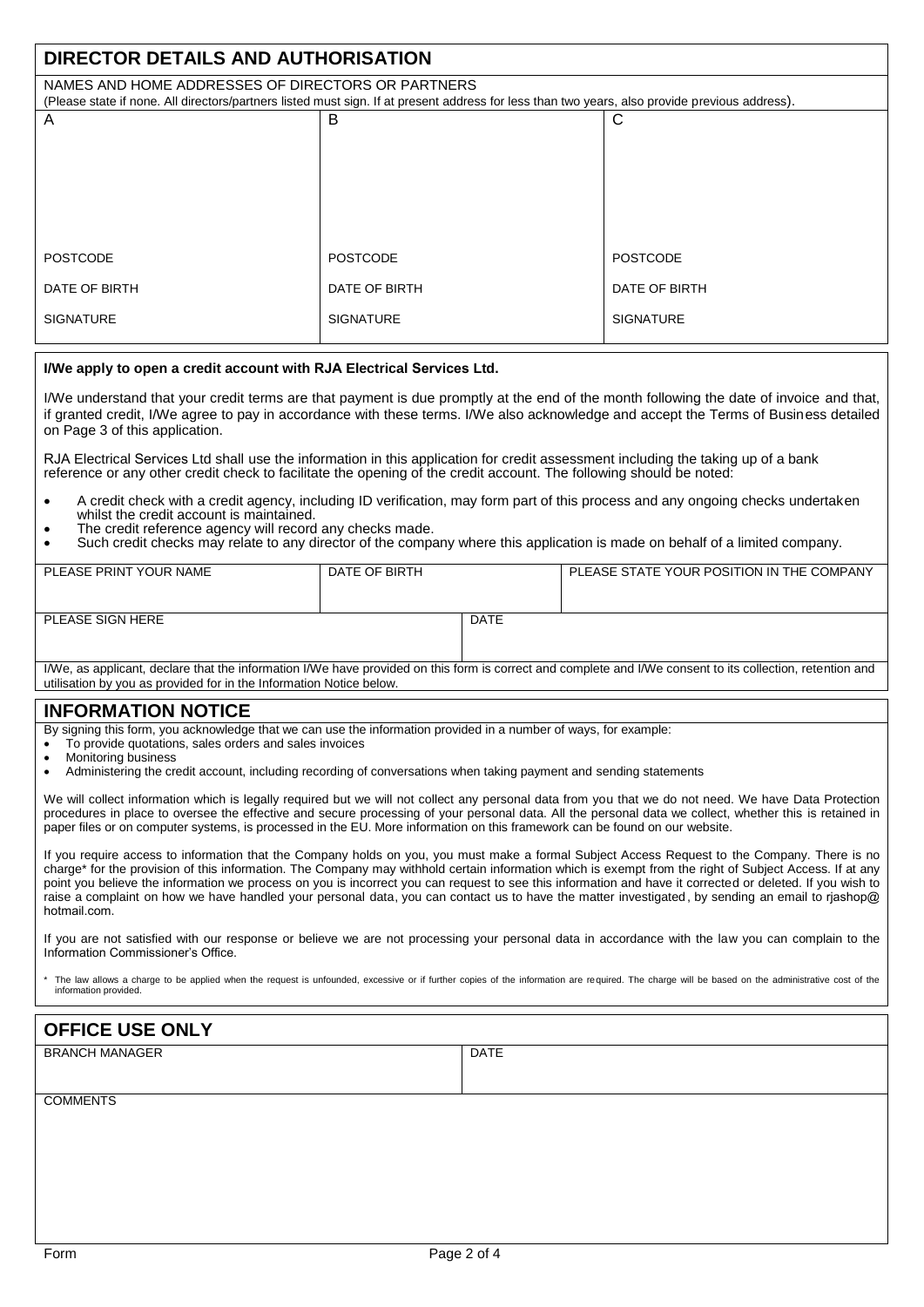| DIRECTOR DETAILS AND AUTHORISATION                                                                                                             |                  |                  |  |  |  |  |  |
|------------------------------------------------------------------------------------------------------------------------------------------------|------------------|------------------|--|--|--|--|--|
| NAMES AND HOME ADDRESSES OF DIRECTORS OR PARTNERS                                                                                              |                  |                  |  |  |  |  |  |
| (Please state if none. All directors/partners listed must sign. If at present address for less than two years, also provide previous address). |                  |                  |  |  |  |  |  |
| A                                                                                                                                              | B                | С                |  |  |  |  |  |
|                                                                                                                                                |                  |                  |  |  |  |  |  |
|                                                                                                                                                |                  |                  |  |  |  |  |  |
|                                                                                                                                                |                  |                  |  |  |  |  |  |
|                                                                                                                                                |                  |                  |  |  |  |  |  |
|                                                                                                                                                |                  |                  |  |  |  |  |  |
|                                                                                                                                                |                  |                  |  |  |  |  |  |
|                                                                                                                                                |                  |                  |  |  |  |  |  |
| <b>POSTCODE</b>                                                                                                                                | <b>POSTCODE</b>  | <b>POSTCODE</b>  |  |  |  |  |  |
|                                                                                                                                                |                  |                  |  |  |  |  |  |
| DATE OF BIRTH                                                                                                                                  | DATE OF BIRTH    | DATE OF BIRTH    |  |  |  |  |  |
|                                                                                                                                                |                  |                  |  |  |  |  |  |
| <b>SIGNATURE</b>                                                                                                                               | <b>SIGNATURE</b> | <b>SIGNATURE</b> |  |  |  |  |  |
|                                                                                                                                                |                  |                  |  |  |  |  |  |

#### **I/We apply to open a credit account with RJA Electrical Services Ltd.**

I/We understand that your credit terms are that payment is due promptly at the end of the month following the date of invoice and that, if granted credit, I/We agree to pay in accordance with these terms. I/We also acknowledge and accept the Terms of Business detailed on Page 3 of this application.

RJA Electrical Services Ltd shall use the information in this application for credit assessment including the taking up of a bank reference or any other credit check to facilitate the opening of the credit account. The following should be noted:

- A credit check with a credit agency, including ID verification, may form part of this process and any ongoing checks undertaken whilst the credit account is maintained.
- The credit reference agency will record any checks made.
- Such credit checks may relate to any director of the company where this application is made on behalf of a limited company.

| PLEASE PRINT YOUR NAME | DATE OF BIRTH |             | PLEASE STATE YOUR POSITION IN THE COMPANY |
|------------------------|---------------|-------------|-------------------------------------------|
| PLEASE SIGN HERE       |               | <b>DATE</b> |                                           |

I/We, as applicant, declare that the information I/We have provided on this form is correct and complete and I/We consent to its collection, retention and utilisation by you as provided for in the Information Notice below.

### **INFORMATION NOTICE**

By signing this form, you acknowledge that we can use the information provided in a number of ways, for example:

- To provide quotations, sales orders and sales invoices
- Monitoring business
- Administering the credit account, including recording of conversations when taking payment and sending statements

We will collect information which is legally required but we will not collect any personal data from you that we do not need. We have Data Protection procedures in place to oversee the effective and secure processing of your personal data. All the personal data we collect, whether this is retained in paper files or on computer systems, is processed in the EU. More information on this framework can be found on our website.

If you require access to information that the Company holds on you, you must make a formal Subject Access Request to the Company. There is no charge\* for the provision of this information. The Company may withhold certain information which is exempt from the right of Subject Access. If at any point you believe the information we process on you is incorrect you can request to see this information and have it corrected or deleted. If you wish to raise a complaint on how we have handled your personal data, you can contact us to have the matter investigated , by sending an email to rjashop@ [hotmail.com](mailto:sar@eel.co.uk).

If you are not satisfied with our response or believe we are not processing your personal data in accordance with the law you can complain to the Information Commissioner's Office.

The law allows a charge to be applied when the request is unfounded, excessive or if further copies of the information are required. The charge will be based on the administrative cost of the information provided.

#### **OFFICE USE ONLY** BRANCH MANAGER DATE CONTROL IN THE RESERVE OF THE SERVICE OF DATE

#### **COMMENTS**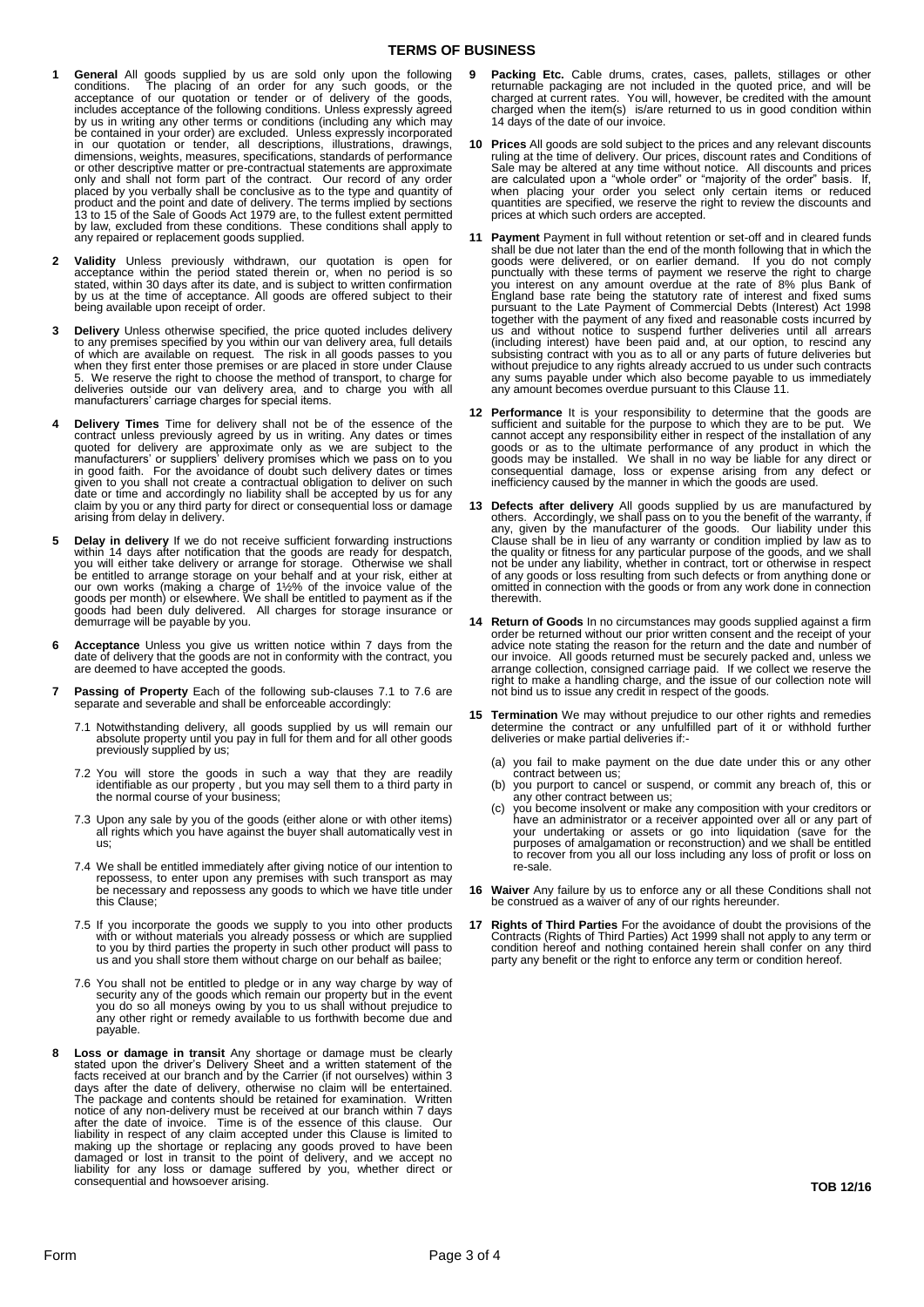#### **TERMS OF BUSINESS**

- **1 General** All goods supplied by us are sold only upon the following conditions. The placing of an order for any such goods, or the acceptance of our quotation or tender or of delivery of the goods, concludes acceptance o be contained in your order) are excluded. Unless expressly incorporated in our quotation or tender, all descriptions, illustrations, drawings, dimensions, weights, measures, specifications, standards of performance or other descriptive matter or pre-contractual statements are approximate only and shall not form part of the contract. Our record of any order placed by you verbally shall be conclusive as to the type and quantity of product and the point and date of delivery. The terms implied by sections 13 to 15 of the Sale of Goods Act 1979 are, to the fullest extent permitted by law, excluded from these conditions. These conditions shall apply to any repaired or replacement goods supplied.
- **2 Validity** Unless previously withdrawn, our quotation is open for acceptance within the period stated therein or, when no period is so stated, within 30 days after its date, and is subject to written confirmation by us a being available upon receipt of order.
- **3 Delivery** Unless otherwise specified, the price quoted includes delivery to any premises specified by you within our van delivery area, full details of which are available on request. The risk in all goods passes to you when they first enter those premises or are placed in store under Clause 5. We reserve the right to choose the method of transport, to charge for deliveries outside our van delivery area, and to charge you with all manufacturers' carriage charges for special items.
- **4 Delivery Times** Time for delivery shall not be of the essence of the contract unless previously agreed by us in writing. Any dates or times quoted for delivery are approximate only as we are subject to the manufacturers given to you shall not create a contractual obligation to deliver on such date or time and accordingly no liability shall be accepted by us for any claim by you or any third party for direct or consequential loss or damage arising from delay in delivery.
- **5 Delay in delivery** If we do not receive sufficient forwarding instructions within 14 days after notification that the goods are ready for despatch, you will either take delivery or arrange for storage. Otherwise we sha
- **6 Acceptance** Unless you give us written notice within 7 days from the date of delivery that the goods are not in conformity with the contract, you are deemed to have accepted the goods.
- **7 Passing of Property** Each of the following sub-clauses 7.1 to 7.6 are separate and severable and shall be enforceable accordingly:
	- 7.1 Notwithstanding delivery, all goods supplied by us will remain our absolute property until you pay in full for them and for all other goods previously supplied by us;
	- 7.2 You will store the goods in such a way that they are readily identifiable as our property , but you may sell them to a third party in the normal course of your business;
	- 7.3 Upon any sale by you of the goods (either alone or with other items) all rights which you have against the buyer shall automatically vest in us;
	- 7.4 We shall be entitled immediately after giving notice of our intention to repossess, to enter upon any premises with such transport as may be necessary and repossess any goods to which we have title under this Clause;
	- 7.5 If you incorporate the goods we supply to you into other products with or without materials you already possess or which are supplied to you by third parties the property in such other product will pass to us and you s
	- 7.6 You shall not be entitled to pledge or in any way charge by way of security any of the goods which remain our property but in the event you do so all moneys owing by you to us shall without prejudice to any other right payable.
- 8 Loss or damage in transit Any shortage or damage must be clearly stated upon the diver's Delivery Sheet and a written statement of the facts received at our branch and by the Carrier (if not ourselves) within 3 days afte
- **9 Packing Etc.** Cable drums, crates, cases, pallets, stillages or other returnable packaging are not included in the quoted price, and will be charged at current rates. You will, however, be credited with the amount charged when the item(s) is/are returned to us in good condition within 14 days of the date of our invoice.
- **10 Prices** All goods are sold subject to the prices and any relevant discounts<br>ruling at the time of delivery. Our prices, discount rates and Conditions of<br>Sale may be altered at any time without notice. All discounts and
- 11 Payment Payment in full without retention or set-off and in cleared funds<br>shall be due not later than the end of the month following that in which the<br>goods were delivered, or on earlier demand. If you do not comply<br>pun (including interest) have been paid and, at our option, to rescind any subsisting contract with you as to all or any parts of future deliveries but without prejudice to any rights already accrued to us under such contracts any sums payable under which also become payable to us immediately any amount becomes overdue pursuant to this Clause 11.
- **12 Performance** It is your responsibility to determine that the goods are sufficient and suitable for the purpose to which they are to be put. We cannot accept any responsibility either in respect of the installation of a goods or as to the ultimate performance of any product in which the<br>goods may be installed. We shall in no way be liable for any direct or<br>consequential damage, loss or expense arising from any defect or<br>inefficiency cause
- 13 Defects after delivery All goods supplied by us are manufactured by others. Accordingly, we shall pass on to you the benefit of the warranty, if any, given by the manufacturer of the goods. Our liability under his Claus therewith.
- **14 Return of Goods** In no circumstances may goods supplied against a firm order be returned without our prior written consent and the receipt of your advice note stating the reason for the return and the date and number of our invoice. All goods returned must be securely packed and, unless we<br>arrange collection, consigned carriage paid. If we collect we reserve the<br>right to make a handling charge, and the issue of our collection note will<br>no
- **15 Termination** We may without prejudice to our other rights and remedies determine the contract or any unfulfilled part of it or withhold further deliveries or make partial deliveries if:-
	- (a) you fail to make payment on the due date under this or any other contract between us
	- (b) you purport to cancel or suspend, or commit any breach of, this or any other contract between us;
	- (c) you become insolvent or make any composition with your creditors or have an administrator or a receiver appointed over all or any part of your undertaking or assets or go into liquidation (save for the purposes of amal re-sale.
- **16 Waiver** Any failure by us to enforce any or all these Conditions shall not be construed as a waiver of any of our rights hereunder.
- **17 Rights of Third Parties** For the avoidance of doubt the provisions of the Contracts (Rights of Third Parties) Act 1999 shall not apply to any term or condition hereof and nothing contained herein shall confer on any third party any benefit or the right to enforce any term or condition hereof.